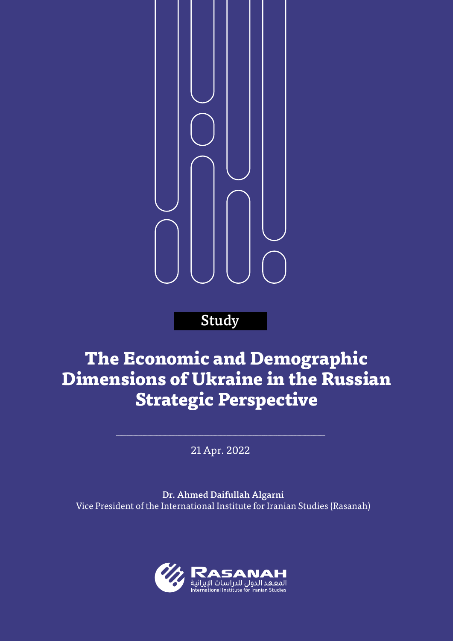

## **Study**

# **The Economic and Demographic Dimensions of Ukraine in the Russian Strategic Perspective**

21 Apr. 2022

Dr. Ahmed Daifullah Algarni Vice President of the International Institute for Iranian Studies (Rasanah)

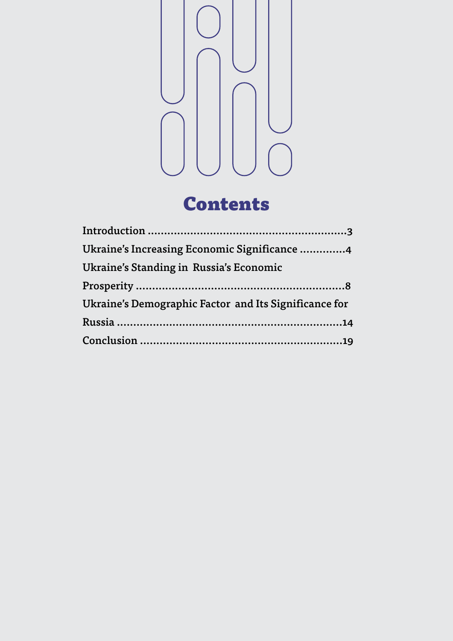



| Ukraine's Increasing Economic Significance 4          |
|-------------------------------------------------------|
| Ukraine's Standing in Russia's Economic               |
|                                                       |
| Ukraine's Demographic Factor and Its Significance for |
|                                                       |
|                                                       |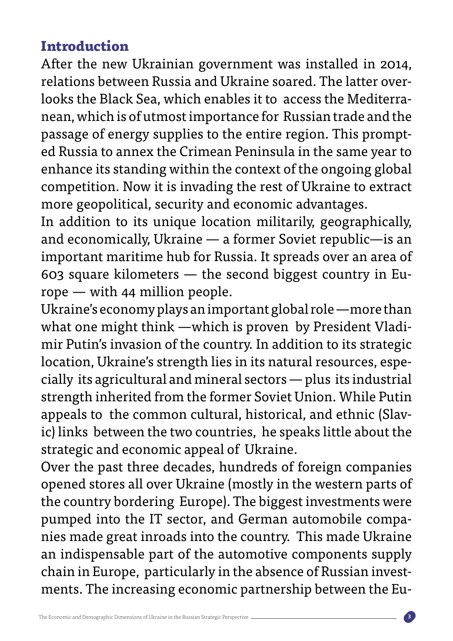### **Introduction**

After the new Ukrainian government was installed in 2014, nean, which is of utmost importance for Russian trade and the looks the Black Sea, which enables it to access the Mediterrarelations between Russia and Ukraine soared. The latter overed Russia to annex the Crimean Peninsula in the same year to passage of energy supplies to the entire region. This promptenhance its standing within the context of the ongoing global competition. Now it is invading the rest of Ukraine to extract more geopolitical, security and economic advantages.

In addition to its unique location militarily, geographically, and economically, Ukraine  $-$  a former Soviet republic-is an important maritime hub for Russia. It spreads over an area of 603 square kilometers — the second biggest country in Eu-<br>rope — with 44 million people.

Ukraine's economy plays an important global role —more than what one might think —which is proven by President Vladi-<br>mir Putin's invasion of the country. In addition to its strategic cially its agricultural and mineral sectors  $-$  plus its industrial location, Ukraine's strength lies in its natural resources, espestrength inherited from the former Soviet Union. While Putin ic) links between the two countries, he speaks little about the appeals to the common cultural, historical, and ethnic (Slavstrategic and economic appeal of Ukraine.

Over the past three decades, hundreds of foreign companies opened stores all over Ukraine (mostly in the western parts of the country bordering Europe). The biggest investments were nies made great inroads into the country. This made Ukraine pumped into the IT sector, and German automobile compaan indispensable part of the automotive components supply ments. The increasing economic partnership between the Euchain in Europe, particularly in the absence of Russian invest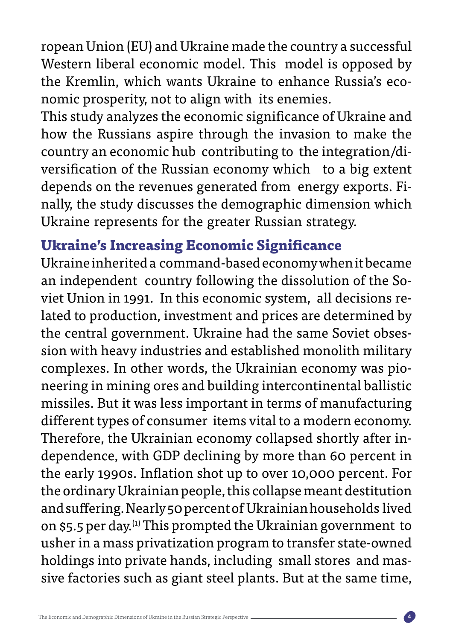ropean Union (EU) and Ukraine made the country a successful Western liberal economic model. This model is opposed by the Kremlin, which wants Ukraine to enhance Russia's eco-<br>nomic prosperity, not to align with its enemies.

This study analyzes the economic significance of Ukraine and how the Russians aspire through the invasion to make the versification of the Russian economy which to a big extent country an economic hub contributing to the integration/dinally, the study discusses the demographic dimension which depends on the revenues generated from energy exports. Fi-Ukraine represents for the greater Russian strategy.

### **Ukraine's Increasing Economic Significance**

Ukraine inherited a command-based economy when it became lated to production, investment and prices are determined by viet Union in 1991. In this economic system, all decisions rean independent country following the dissolution of the Sosion with heavy industries and established monolith military the central government. Ukraine had the same Soviet obsesneering in mining ores and building intercontinental ballistic complexes. In other words, the Ukrainian economy was piomissiles. But it was less important in terms of manufacturing different types of consumer items vital to a modern economy. dependence, with GDP declining by more than 60 percent in Therefore, the Ukrainian economy collapsed shortly after inthe early 1990s. Inflation shot up to over 10,000 percent. For the ordinary Ukrainian people, this collapse meant destitution and suffering. Nearly 50 percent of Ukrainian households lived on \$5.5 per day.<sup>(1)</sup> This prompted the Ukrainian government to usher in a mass privatization program to transfer state-owned sive factories such as giant steel plants. But at the same time, holdings into private hands, including small stores and mas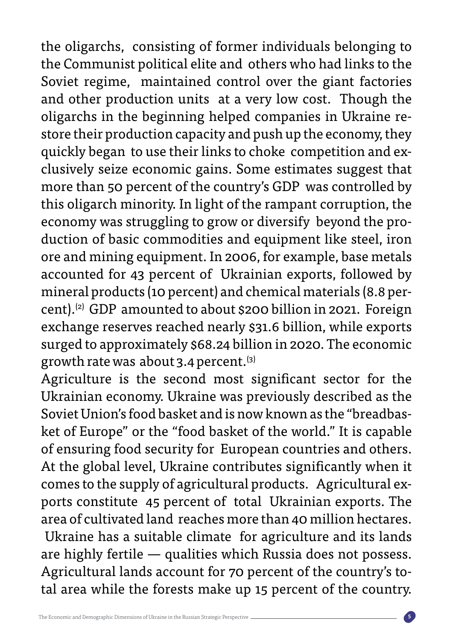the oligarchs, consisting of former individuals belonging to the Communist political elite and others who had links to the Soviet regime, maintained control over the giant factories and other production units at a very low cost. Though the store their production capacity and push up the economy, they oligarchs in the beginning helped companies in Ukraine reclusively seize economic gains. Some estimates suggest that quickly began to use their links to choke competition and exmore than 50 percent of the country's GDP was controlled by this oligarch minority. In light of the rampant corruption, the duction of basic commodities and equipment like steel, iron economy was struggling to grow or diversify beyond the proore and mining equipment. In 2006, for example, base metals accounted for 43 percent of Ukrainian exports, followed by cent).<sup>(2)</sup> GDP amounted to about \$200 billion in 2021. Foreign mineral products (10 percent) and chemical materials (8.8 perexchange reserves reached nearly \$31.6 billion, while exports surged to approximately \$68.24 billion in 2020. The economic growth rate was about 3.4 percent.  $(3)$ 

Agriculture is the second most significant sector for the Ukrainian economy. Ukraine was previously described as the ket of Europe" or the "food basket of the world." It is capable Soviet Union's food basket and is now known as the "breadbasof ensuring food security for European countries and others. At the global level, Ukraine contributes significantly when it ports constitute 45 percent of total Ukrainian exports. The comes to the supply of agricultural products. Agricultural exarea of cultivated land reaches more than 40 million hectares. Ukraine has a suitable climate for agriculture and its lands are highly fertile  $-$  qualities which Russia does not possess. tal area while the forests make up 15 percent of the country. Agricultural lands account for 70 percent of the country's to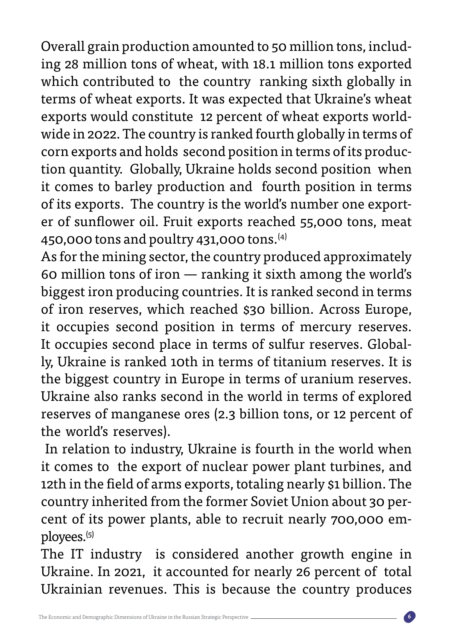ing 28 million tons of wheat, with 18.1 million tons exported Overall grain production amounted to 50 million tons, includwhich contributed to the country ranking sixth globally in terms of wheat exports. It was expected that Ukraine's wheat wide in 2022. The country is ranked fourth globally in terms of exports would constitute 12 percent of wheat exports worldtion quantity. Globally, Ukraine holds second position when corn exports and holds second position in terms of its producit comes to barley production and fourth position in terms er of sunflower oil. Fruit exports reached 55,000 tons, meat of its exports. The country is the world's number one export-450,000 tons and poultry 431,000 tons. $(4)$ 

As for the mining sector, the country produced approximately 60 million tons of iron  $-$  ranking it sixth among the world's biggest iron producing countries. It is ranked second in terms of iron reserves, which reached \$30 billion. Across Europe, it occupies second position in terms of mercury reserves. ly, Ukraine is ranked 10th in terms of titanium reserves. It is It occupies second place in terms of sulfur reserves. Globalthe biggest country in Europe in terms of uranium reserves. Ukraine also ranks second in the world in terms of explored reserves of manganese ores (2.3 billion tons, or 12 percent of the world's reserves).

In relation to industry, Ukraine is fourth in the world when it comes to the export of nuclear power plant turbines, and 12th in the field of arms exports, totaling nearly \$1 billion. The cent of its power plants, able to recruit nearly 700,000 em-<br>ployees.<sup>(5)</sup> country inherited from the former Soviet Union about 30 per-<br>cent of its power plants, able to recruit nearly 700,000 emcountry inherited from the former Soviet Union about 30 per-

The IT industry is considered another growth engine in Ukraine. In 2021, it accounted for nearly 26 percent of total Ukrainian revenues. This is because the country produces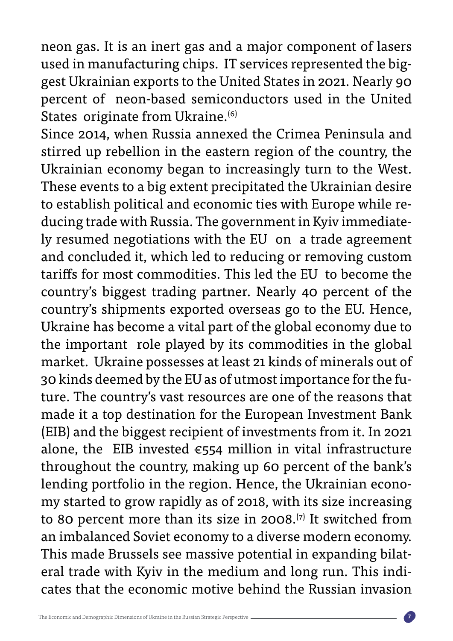neon gas. It is an inert gas and a major component of lasers gest Ukrainian exports to the United States in 2021. Nearly 90 used in manufacturing chips. IT services represented the bigpercent of neon-based semiconductors used in the United States originate from Ukraine.<sup>(6)</sup>

Since 2014, when Russia annexed the Crimea Peninsula and stirred up rebellion in the eastern region of the country, the Ukrainian economy began to increasingly turn to the West. These events to a big extent precipitated the Ukrainian desire ly resumed negotiations with the EU on a trade agreement ducing trade with Russia. The government in Kyiv immediateto establish political and economic ties with Europe while reand concluded it, which led to reducing or removing custom tariffs for most commodities. This led the EU to become the country's biggest trading partner. Nearly 40 percent of the country's shipments exported overseas go to the EU. Hence, Ukraine has become a vital part of the global economy due to the important role played by its commodities in the global market. Ukraine possesses at least 21 kinds of minerals out of ture. The country's vast resources are one of the reasons that 30 kinds deemed by the EU as of utmost importance for the fumade it a top destination for the European Investment Bank (EIB) and the biggest recipient of investments from it. In 2021 alone, the EIB invested  $\epsilon$ 554 million in vital infrastructure throughout the country, making up 60 percent of the bank's my started to grow rapidly as of 2018, with its size increasing lending portfolio in the region. Hence, the Ukrainian econoto 80 percent more than its size in  $2008$ . <sup>(7)</sup> It switched from an imbalanced Soviet economy to a diverse modern economy. eral trade with Kyiv in the medium and long run. This indi-<br>cates that the economic motive behind the Russian invasion This made Brussels see massive potential in expanding bilat-<br>eral trade with Kyiv in the medium and long run. This indi-This made Brussels see massive potential in expanding bilat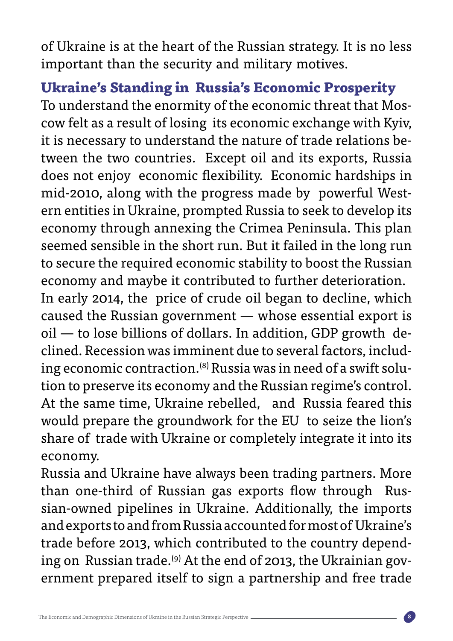of Ukraine is at the heart of the Russian strategy. It is no less important than the security and military motives.

 **Ukraine's Standing in Russia's Economic Prosperity** cow felt as a result of losing its economic exchange with Kyiv, To understand the enormity of the economic threat that Mostween the two countries. Except oil and its exports, Russia it is necessary to understand the nature of trade relations bedoes not enjoy economic flexibility. Economic hardships in ern entities in Ukraine, prompted Russia to seek to develop its mid-2010, along with the progress made by powerful Westeconomy through annexing the Crimea Peninsula. This plan seemed sensible in the short run. But it failed in the long run to secure the required economic stability to boost the Russian economy and maybe it contributed to further deterioration.

In early 2014, the price of crude oil began to decline, which caused the Russian government  $-$  whose essential export is tion to preserve its economy and the Russian regime's control. ing economic contraction.<sup>(8)</sup> Russia was in need of a swift soluclined. Recession was imminent due to several factors, includ- $\text{oil}$  — to lose billions of dollars. In addition, GDP growth de-At the same time, Ukraine rebelled, and Russia feared this would prepare the groundwork for the EU to seize the lion's share of trade with Ukraine or completely integrate it into its .economy

Russia and Ukraine have always been trading partners. More than one-third of Russian gas exports flow through Rus-<br>sian-owned pipelines in Ukraine. Additionally, the imports than one-third of Russian gas exports flow through and exports to and from Russia accounted for most of Ukraine's ernment prepared itself to sign a partnership and free trade ing on Russian trade.<sup>(9)</sup> At the end of 2013, the Ukrainian govtrade before 2013, which contributed to the country depend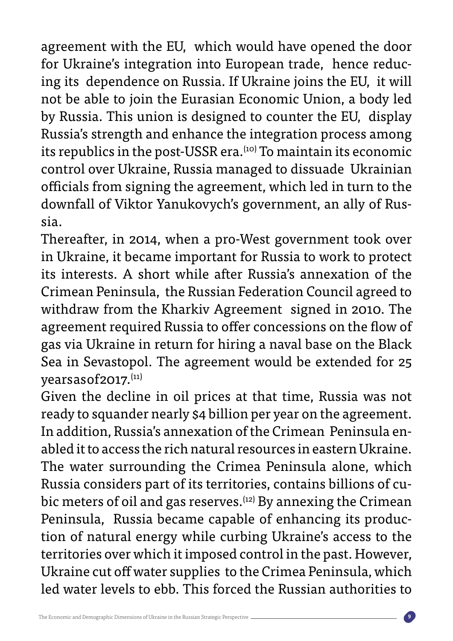agreement with the EU, which would have opened the door ing its dependence on Russia. If Ukraine joins the EU, it will for Ukraine's integration into European trade, hence reducnot be able to join the Eurasian Economic Union, a body led by Russia. This union is designed to counter the EU, display Russia's strength and enhance the integration process among its republics in the post-USSR era.<sup>(10)</sup> To maintain its economic control over Ukraine, Russia managed to dissuade Ukrainian officials from signing the agreement, which led in turn to the downfall of Viktor Yanukovych's government, an ally of Rus-<br>sia.

Thereafter, in 2014, when a pro-West government took over in Ukraine, it became important for Russia to work to protect its interests. A short while after Russia's annexation of the Crimean Peninsula, the Russian Federation Council agreed to withdraw from the Kharkiv Agreement signed in 2010. The agreement required Russia to offer concessions on the flow of gas via Ukraine in return for hiring a naval base on the Black Sea in Sevastopol. The agreement would be extended for 25 years as of 2017. (11)

Given the decline in oil prices at that time, Russia was not ready to squander nearly \$4 billion per year on the agreement. In addition, Russia's annexation of the Crimean Peninsula en-<br>abled it to access the rich natural resources in eastern Ukraine. The water surrounding the Crimea Peninsula alone, which bic meters of oil and gas reserves.<sup>(12)</sup> By annexing the Crimean Russia considers part of its territories, contains billions of cution of natural energy while curbing Ukraine's access to the Peninsula, Russia became capable of enhancing its producterritories over which it imposed control in the past. However, Ukraine cut off water supplies to the Crimea Peninsula, which led water levels to ebb. This forced the Russian authorities to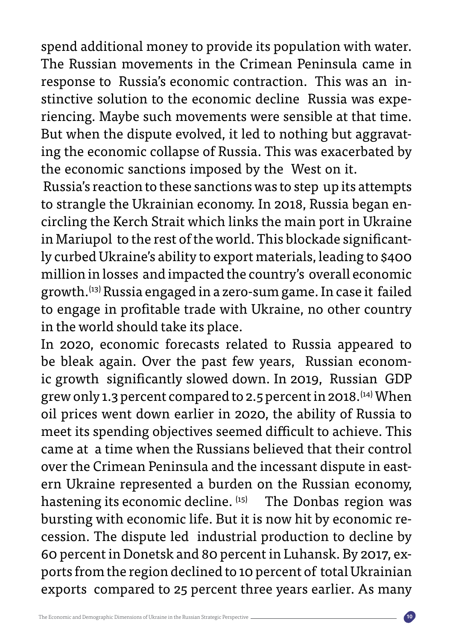spend additional money to provide its population with water. The Russian movements in the Crimean Peninsula came in riencing. Maybe such movements were sensible at that time. stinctive solution to the economic decline Russia was experesponse to Russia's economic contraction. This was an ining the economic collapse of Russia. This was exacerbated by But when the dispute evolved, it led to nothing but aggravatthe economic sanctions imposed by the West on it.

Russia's reaction to these sanctions was to step up its attempts circling the Kerch Strait which links the main port in Ukraine to strangle the Ukrainian economy. In 2018, Russia began enly curbed Ukraine's ability to export materials, leading to \$400 in Mariupol to the rest of the world. This blockade significantmillion in losses and impacted the country's overall economic growth.<sup>(13)</sup> Russia engaged in a zero-sum game. In case it failed to engage in profitable trade with Ukraine, no other country in the world should take its place.

In 2020, economic forecasts related to Russia appeared to ic growth significantly slowed down. In 2019, Russian GDP be bleak again. Over the past few years, Russian economgrew only 1.3 percent compared to 2.5 percent in 2018. <sup>(14)</sup> When oil prices went down earlier in 2020, the ability of Russia to meet its spending objectives seemed difficult to achieve. This came at a time when the Russians believed that their control ern Ukraine represented a burden on the Russian economy, over the Crimean Peninsula and the incessant dispute in easthastening its economic decline. <sup>(15)</sup> The Donbas region was cession. The dispute led industrial production to decline by bursting with economic life. But it is now hit by economic reports from the region declined to 10 percent of total Ukrainian 60 percent in Donetsk and 80 percent in Luhansk. By 2017, exexports compared to 25 percent three years earlier. As many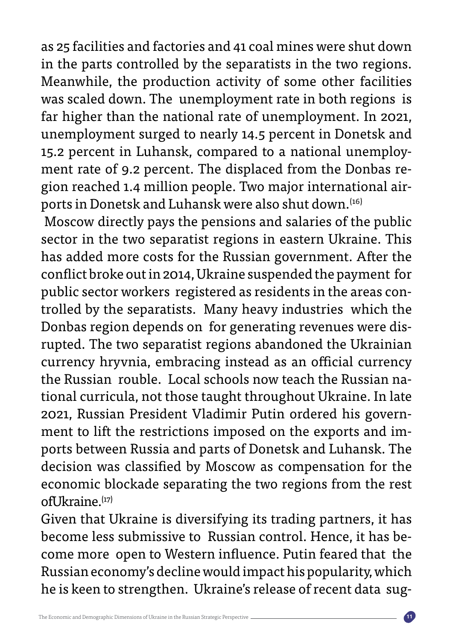as 25 facilities and factories and 41 coal mines were shut down in the parts controlled by the separatists in the two regions. Meanwhile, the production activity of some other facilities was scaled down. The unemployment rate in both regions is far higher than the national rate of unemployment. In 2021, unemployment surged to nearly 14.5 percent in Donetsk and ports in Donetsk and Luhansk were also shut down.<sup>(16)</sup> gion reached 1.4 million people. Two major international airment rate of 9.2 percent. The displaced from the Donbas re-15.2 percent in Luhansk, compared to a national unemploy-

Moscow directly pays the pensions and salaries of the public sector in the two separatist regions in eastern Ukraine. This has added more costs for the Russian government. After the conflict broke out in 2014, Ukraine suspended the payment for trolled by the separatists. Many heavy industries which the public sector workers registered as residents in the areas conrupted. The two separatist regions abandoned the Ukrainian Donbas region depends on for generating revenues were discurrency hryvnia, embracing instead as an official currency tional curricula, not those taught throughout Ukraine. In late the Russian rouble. Local schools now teach the Russian naports between Russia and parts of Donetsk and Luhansk. The ment to lift the restrictions imposed on the exports and im-2021, Russian President Vladimir Putin ordered his governdecision was classified by Moscow as compensation for the economic blockade separating the two regions from the rest  $off$ Jkraine. $(17)$ 

Given that Ukraine is diversifying its trading partners, it has come more open to Western influence. Putin feared that the become less submissive to Russian control. Hence, it has be-Russian economy's decline would impact his popularity, which he is keen to strengthen. Ukraine's release of recent data sug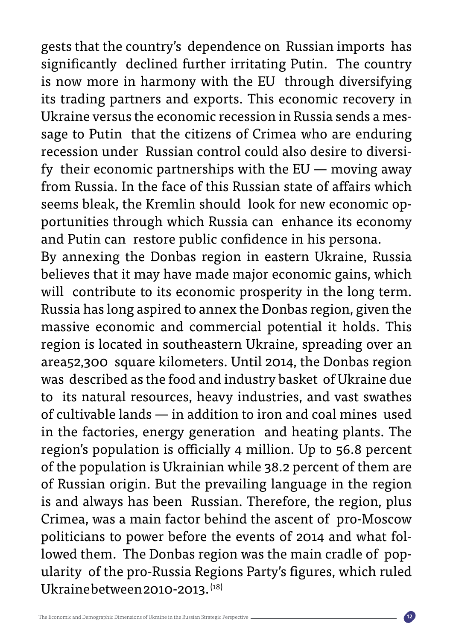gests that the country's dependence on Russian imports has significantly declined further irritating Putin. The country is now more in harmony with the EU through diversifying its trading partners and exports. This economic recovery in sage to Putin that the citizens of Crimea who are enduring Ukraine versus the economic recession in Russia sends a mesfy their economic partnerships with the  $EU$  — moving away recession under Russian control could also desire to diversifrom Russia. In the face of this Russian state of affairs which portunities through which Russia can enhance its economy seems bleak, the Kremlin should look for new economic opand Putin can restore public confidence in his persona.

By annexing the Donbas region in eastern Ukraine, Russia believes that it may have made major economic gains, which will contribute to its economic prosperity in the long term. Russia has long aspired to annex the Donbas region, given the massive economic and commercial potential it holds. This region is located in southeastern Ukraine, spreading over an area52,300 square kilometers. Until 2014, the Donbas region was described as the food and industry basket of Ukraine due to its natural resources, heavy industries, and vast swathes of cultivable lands  $-$  in addition to iron and coal mines used in the factories, energy generation and heating plants. The region's population is officially 4 million. Up to 56.8 percent of the population is Ukrainian while 38.2 percent of them are of Russian origin. But the prevailing language in the region is and always has been Russian. Therefore, the region, plus Crimea, was a main factor behind the ascent of pro-Moscow ularity of the pro-Russia Regions Party's figures, which ruled lowed them. The Donbas region was the main cradle of poppoliticians to power before the events of 2014 and what fol-Ukraine between 2010-2013. $^{(18)}$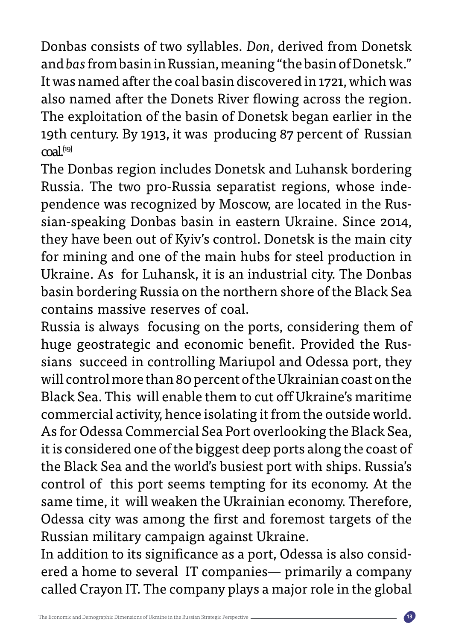Donbas consists of two syllables. Don, derived from Donetsk and bas from basin in Russian, meaning "the basin of Donetsk." It was named after the coal basin discovered in 1721, which was also named after the Donets River flowing across the region. The exploitation of the basin of Donetsk began earlier in the 19th century. By 1913, it was producing 87 percent of Russian  $\text{cal}^{(19)}$ 

The Donbas region includes Donetsk and Luhansk bordering sian-speaking Donbas basin in eastern Ukraine. Since 2014, pendence was recognized by Moscow, are located in the Rus-Russia. The two pro-Russia separatist regions, whose indethey have been out of Kyiv's control. Donetsk is the main city for mining and one of the main hubs for steel production in Ukraine. As for Luhansk, it is an industrial city. The Donbas basin bordering Russia on the northern shore of the Black Sea contains massive reserves of coal.

Russia is always focusing on the ports, considering them of sians succeed in controlling Mariupol and Odessa port, they huge geostrategic and economic benefit. Provided the Ruswill control more than 80 percent of the Ukrainian coast on the Black Sea. This will enable them to cut off Ukraine's maritime commercial activity, hence isolating it from the outside world. As for Odessa Commercial Sea Port overlooking the Black Sea, it is considered one of the biggest deep ports along the coast of the Black Sea and the world's busiest port with ships. Russia's control of this port seems tempting for its economy. At the same time, it will weaken the Ukrainian economy. Therefore, Odessa city was among the first and foremost targets of the Russian military campaign against Ukraine.

ered a home to several IT companies - primarily a company In addition to its significance as a port, Odessa is also considcalled Crayon IT. The company plays a major role in the global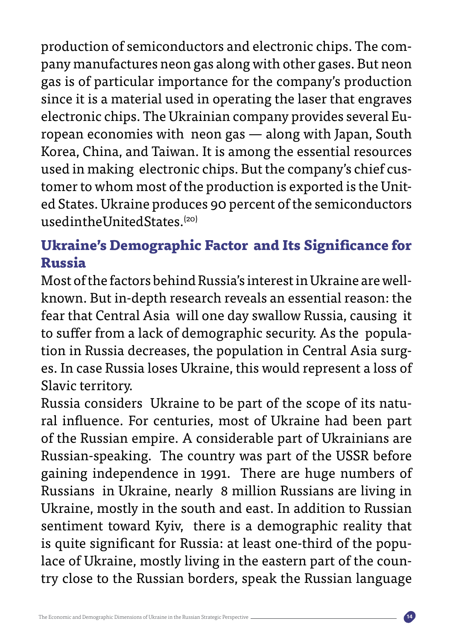pany manufactures neon gas along with other gases. But neon production of semiconductors and electronic chips. The comgas is of particular importance for the company's production since it is a material used in operating the laser that engraves ropean economies with neon gas  $-$  along with Japan, South electronic chips. The Ukrainian company provides several Eu-Korea, China, and Taiwan. It is among the essential resources ed States. Ukraine produces 90 percent of the semiconductors tomer to whom most of the production is exported is the Unitused in making electronic chips. But the company's chief cus $used in the United States<sup>(20)</sup>$ 

### **Ukraine's Demographic Factor and Its Significance for Russia**

known. But in-depth research reveals an essential reason: the Most of the factors behind Russia's interest in Ukraine are wellfear that Central Asia will one day swallow Russia, causing it es. In case Russia loses Ukraine, this would represent a loss of tion in Russia decreases, the population in Central Asia surgto suffer from a lack of demographic security. As the popula-Slavic territory.

Russia considers Ukraine to be part of the scope of its natu-<br>ral influence. For centuries, most of Ukraine had been part of the Russian empire. A considerable part of Ukrainians are Russian-speaking. The country was part of the USSR before gaining independence in 1991. There are huge numbers of Russians in Ukraine, nearly 8 million Russians are living in Ukraine, mostly in the south and east. In addition to Russian sentiment toward Kyiv, there is a demographic reality that try close to the Russian borders, speak the Russian language lace of Ukraine, mostly living in the eastern part of the counis quite significant for Russia: at least one-third of the popu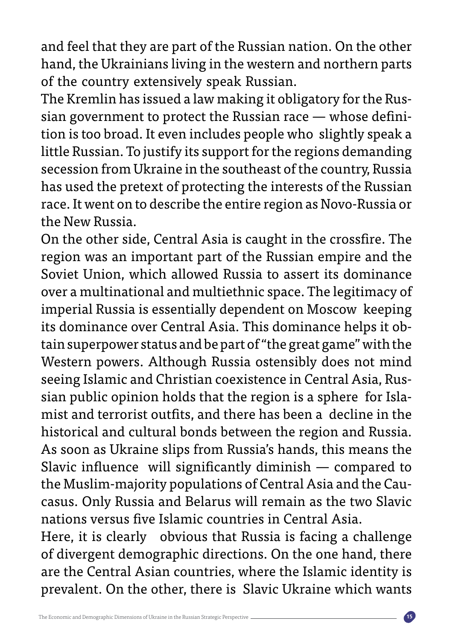and feel that they are part of the Russian nation. On the other hand, the Ukrainians living in the western and northern parts of the country extensively speak Russian.

tion is too broad. It even includes people who slightly speak a sian government to protect the Russian race  $-$  whose defini-The Kremlin has issued a law making it obligatory for the Ruslittle Russian. To justify its support for the regions demanding secession from Ukraine in the southeast of the country, Russia has used the pretext of protecting the interests of the Russian race. It went on to describe the entire region as Novo-Russia or the New Russia.

On the other side, Central Asia is caught in the crossfire. The region was an important part of the Russian empire and the Soviet Union, which allowed Russia to assert its dominance over a multinational and multiethnic space. The legitimacy of imperial Russia is essentially dependent on Moscow keeping tain superpower status and be part of "the great game" with the its dominance over Central Asia. This dominance helps it ob-Western powers. Although Russia ostensibly does not mind sian public opinion holds that the region is a sphere for Isla-<br>mist and terrorist outfits, and there has been a decline in the seeing Islamic and Christian coexistence in Central Asia, Rus-<br>sian public opinion holds that the region is a sphere for Islahistorical and cultural bonds between the region and Russia. As soon as Ukraine slips from Russia's hands, this means the Slavic influence will significantly diminish  $-$  compared to casus. Only Russia and Belarus will remain as the two Slavic the Muslim-majority populations of Central Asia and the Caunations versus five Islamic countries in Central Asia. Here, it is clearly obvious that Russia is facing a challenge

of divergent demographic directions. On the one hand, there are the Central Asian countries, where the Islamic identity is prevalent. On the other, there is Slavic Ukraine which wants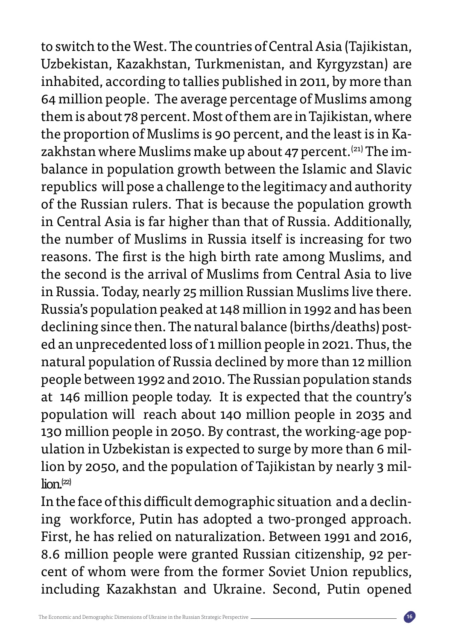to switch to the West. The countries of Central Asia (Tajikistan, Uzbekistan, Kazakhstan, Turkmenistan, and Kyrgyzstan) are inhabited, according to tallies published in 2011, by more than 64 million people. The average percentage of Muslims among them is about 78 percent. Most of them are in Tajikistan, where balance in population growth between the Islamic and Slavic zakhstan where Muslims make up about 47 percent.<sup>(21)</sup> The imthe proportion of Muslims is 90 percent, and the least is in Karepublics will pose a challenge to the legitimacy and authority of the Russian rulers. That is because the population growth in Central Asia is far higher than that of Russia. Additionally, the number of Muslims in Russia itself is increasing for two reasons. The first is the high birth rate among Muslims, and the second is the arrival of Muslims from Central Asia to live in Russia. Today, nearly 25 million Russian Muslims live there. Russia's population peaked at 148 million in 1992 and has been ed an unprecedented loss of 1 million people in 2021. Thus, the declining since then. The natural balance (births/deaths) postnatural population of Russia declined by more than 12 million people between 1992 and 2010. The Russian population stands at 146 million people today. It is expected that the country's population will reach about 140 million people in 2035 and lion by 2050, and the population of Tajikistan by nearly 3 mil-<br>lion.<sup>(22)</sup> ulation in Uzbekistan is expected to surge by more than 6 mil-<br>lion by 2050, and the population of Tajikistan by nearly 3 milulation in Uzbekistan is expected to surge by more than 6 mil-130 million people in 2050. By contrast, the working-age pop-

ing workforce, Putin has adopted a two-pronged approach. In the face of this difficult demographic situation and a declin-First, he has relied on naturalization. Between 1991 and 2016, 8.6 million people were granted Russian citizenship, 92 per-<br>cent of whom were from the former Soviet Union republics, including Kazakhstan and Ukraine. Second, Putin opened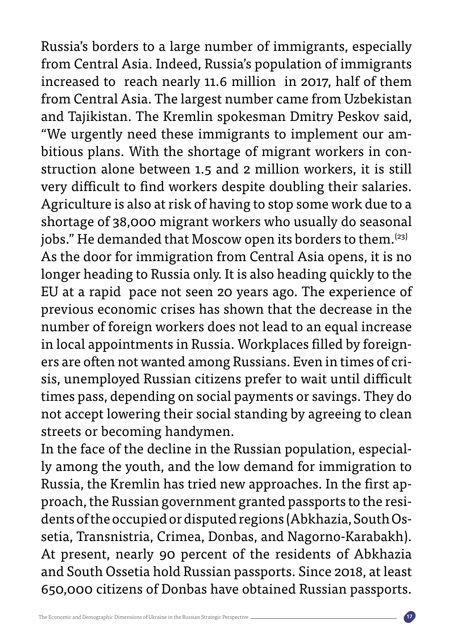Russia's borders to a large number of immigrants, especially from Central Asia. Indeed, Russia's population of immigrants increased to reach nearly 11.6 million in 2017, half of them from Central Asia. The largest number came from Uzbekistan and Tajikistan. The Kremlin spokesman Dmitry Peskov said, struction alone between 1.5 and 2 million workers, it is still bitious plans. With the shortage of migrant workers in con-"We urgently need these immigrants to implement our amvery difficult to find workers despite doubling their salaries. Agriculture is also at risk of having to stop some work due to a shortage of 38,000 migrant workers who usually do seasonal jobs." He demanded that Moscow open its borders to them.<sup>(23)</sup> As the door for immigration from Central Asia opens, it is no longer heading to Russia only. It is also heading quickly to the EU at a rapid pace not seen 20 years ago. The experience of previous economic crises has shown that the decrease in the number of foreign workers does not lead to an equal increase sis, unemployed Russian citizens prefer to wait until difficult ers are often not wanted among Russians. Even in times of criin local appointments in Russia. Workplaces filled by foreigntimes pass, depending on social payments or savings. They do not accept lowering their social standing by agreeing to clean streets or becoming handymen.

ly among the youth, and the low demand for immigration to In the face of the decline in the Russian population, especialsetia, Transnistria, Crimea, Donbas, and Nagorno-Karabakh). dents of the occupied or disputed regions (Abkhazia, South Osproach, the Russian government granted passports to the resi-Russia, the Kremlin has tried new approaches. In the first ap-At present, nearly 90 percent of the residents of Abkhazia and South Ossetia hold Russian passports. Since 2018, at least 650,000 citizens of Donbas have obtained Russian passports.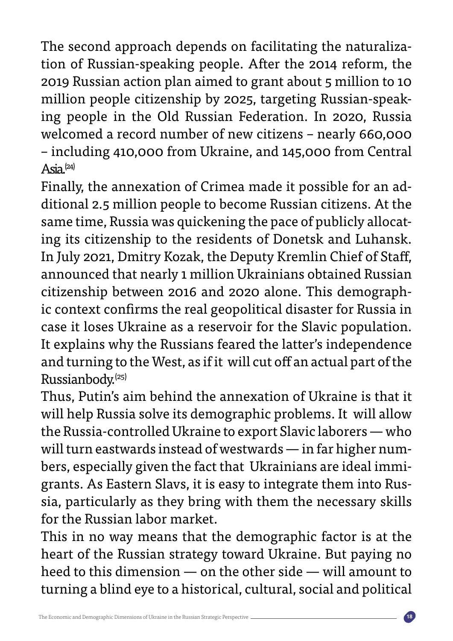tion of Russian-speaking people. After the 2014 reform, the The second approach depends on facilitating the naturaliza-2019 Russian action plan aimed to grant about 5 million to 10 ing people in the Old Russian Federation. In 2020, Russia million people citizenship by 2025, targeting Russian-speakwelcomed a record number of new citizens - nearly 660,000 - including 410,000 from Ukraine, and 145,000 from Central  $Asia^{(24)}$ 

ditional 2.5 million people to become Russian citizens. At the Finally, the annexation of Crimea made it possible for an ading its citizenship to the residents of Donetsk and Luhansk. same time, Russia was quickening the pace of publicly allocat-In July 2021, Dmitry Kozak, the Deputy Kremlin Chief of Staff, announced that nearly 1 million Ukrainians obtained Russian ic context confirms the real geopolitical disaster for Russia in citizenship between 2016 and 2020 alone. This demographcase it loses Ukraine as a reservoir for the Slavic population. It explains why the Russians feared the latter's independence and turning to the West, as if it will cut off an actual part of the Russianbody.<sup>(25)</sup>

Thus. Putin's aim behind the annexation of Ukraine is that it will help Russia solve its demographic problems. It will allow the Russia-controlled Ukraine to export Slavic laborers - who sia, particularly as they bring with them the necessary skills grants. As Eastern Slavs, it is easy to integrate them into Rusbers, especially given the fact that Ukrainians are ideal immiwill turn eastwards instead of westwards  $-$  in far higher numfor the Russian labor market.

This in no way means that the demographic factor is at the heart of the Russian strategy toward Ukraine. But paying no heed to this dimension — on the other side — will amount to turning a blind eye to a historical, cultural, social and political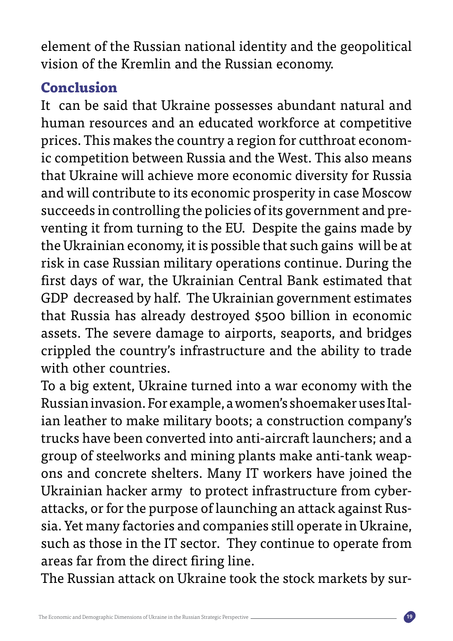element of the Russian national identity and the geopolitical vision of the Kremlin and the Russian economy.

### **Conclusion**

It can be said that Ukraine possesses abundant natural and human resources and an educated workforce at competitive ic competition between Russia and the West. This also means prices. This makes the country a region for cutthroat economthat Ukraine will achieve more economic diversity for Russia and will contribute to its economic prosperity in case Moscow venting it from turning to the EU. Despite the gains made by succeeds in controlling the policies of its government and prethe Ukrainian economy, it is possible that such gains will be at risk in case Russian military operations continue. During the first days of war, the Ukrainian Central Bank estimated that GDP decreased by half. The Ukrainian government estimates that Russia has already destroyed \$500 billion in economic assets. The severe damage to airports, seaports, and bridges crippled the country's infrastructure and the ability to trade with other countries.

To a big extent, Ukraine turned into a war economy with the ian leather to make military boots; a construction company's Russian invasion. For example, a women's shoemaker uses Italtrucks have been converted into anti-aircraft launchers; and a ons and concrete shelters. Many IT workers have joined the group of steelworks and mining plants make anti-tank weapsia. Yet many factories and companies still operate in Ukraine, attacks, or for the purpose of launching an attack against Rus-Ukrainian hacker army to protect infrastructure from cybersuch as those in the IT sector. They continue to operate from areas far from the direct firing line.

The Russian attack on Ukraine took the stock markets by sur-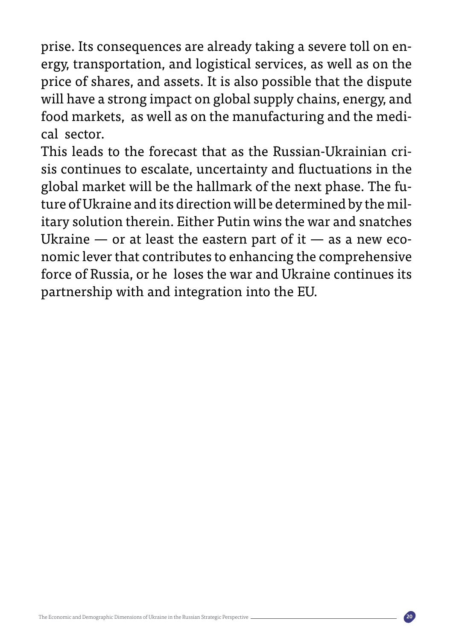ergy, transportation, and logistical services, as well as on the prise. Its consequences are already taking a severe toll on enprice of shares, and assets. It is also possible that the dispute will have a strong impact on global supply chains, energy, and food markets, as well as on the manufacturing and the medi-<br>cal sector.

sis continues to escalate, uncertainty and fluctuations in the This leads to the forecast that as the Russian-Ukrainian criitary solution therein. Either Putin wins the war and snatches ture of Ukraine and its direction will be determined by the milglobal market will be the hallmark of the next phase. The funomic lever that contributes to enhancing the comprehensive Ukraine — or at least the eastern part of it — as a new ecoforce of Russia, or he loses the war and Ukraine continues its partnership with and integration into the EU.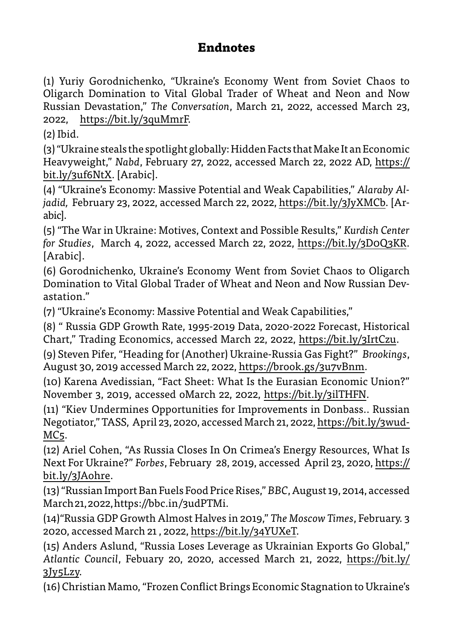### **Endnotes**

(1) Yuriy Gorodnichenko, "Ukraine's Economy Went from Soviet Chaos to Oligarch Domination to Vital Global Trader of Wheat and Neon and Now Russian Devastation," The Conversation, March 21, 2022, accessed March 23, 2022,  $https://bit.ly/gquMmrF.$ 

 $(2)$  Ibid.

 $(3)$  "Ukraine steals the spotlight globally: Hidden Facts that Make It an Economic Heavyweight," Nabd, February 27, 2022, accessed March 22, 2022 AD, https:// bit.ly/3uf6NtX. [Arabic].

*jadid, F*ebruary 23, 2022, accessed March 22, 2022, <u>https://bit.ly/3JyXMCb</u>. [Ar-<br>abic]. (4) "Ukraine's Economy: Massive Potential and Weak Capabilities," *Alaraby Al-*<br>jadid, February 23, 2022, accessed March 22, 2022, <u>https://bit.ly/3JyXMCb</u>. [Ar-(4) "Ukraine's Economy: Massive Potential and Weak Capabilities." Alaraby Al-

(5) "The War in Ukraine: Motives, Context and Possible Results," *Kurdish Center* for Studies, March 4, 2022, accessed March 22, 2022, https://bit.ly/3DoQ3KR. [Arabic].

(6) Gorodnichenko, Ukraine's Economy Went from Soviet Chaos to Oligarch Domination to Vital Global Trader of Wheat and Neon and Now Russian Dev-<br>astation."

(7) "Ukraine's Economy: Massive Potential and Weak Capabilities,"

(8) " Russia GDP Growth Rate, 1995-2019 Data, 2020-2022 Forecast, Historical Chart," Trading Economics, accessed March 22, 2022, https://bit.ly/3IrtCzu.

(9) Steven Pifer, "Heading for (Another) Ukraine-Russia Gas Fight?" Brookings, August 30, 2019 accessed March 22, 2022, https://brook.gs/3u7vBnm.

(10) Karena Avedissian, "Fact Sheet: What Is the Eurasian Economic Union?" November 3, 2019, accessed oMarch 22, 2022, https://bit.ly/3ilTHFN.

(11) "Kiev Undermines Opportunities for Improvements in Donbass.. Russian Negotiator," TASS, April 23, 2020, accessed March 21, 2022, <u>https://bit.ly/3wud-</u><br>MC5.

(12) Ariel Cohen, "As Russia Closes In On Crimea's Energy Resources, What Is Next For Ukraine?" Forbes, February 28, 2019, accessed April 23, 2020, https:// bit.ly/3JAohre.

(13) "Russian Import Ban Fuels Food Price Rises," BBC, August 19, 2014, accessed March 21, 2022, https://bbc.in/3udPTMi.

14) "Russia GDP Growth Almost Halves in 2019," The Moscow Times, February. 3 2020, accessed March 21, 2022, https://bit.ly/34YUXeT.

(15) Anders Aslund, "Russia Loses Leverage as Ukrainian Exports Go Global," Atlantic Council, Febuary 20, 2020, accessed March 21, 2022, https://bit.ly/  $3Jy5Lzy.$ 

(16) Christian Mamo, "Frozen Conflict Brings Economic Stagnation to Ukraine's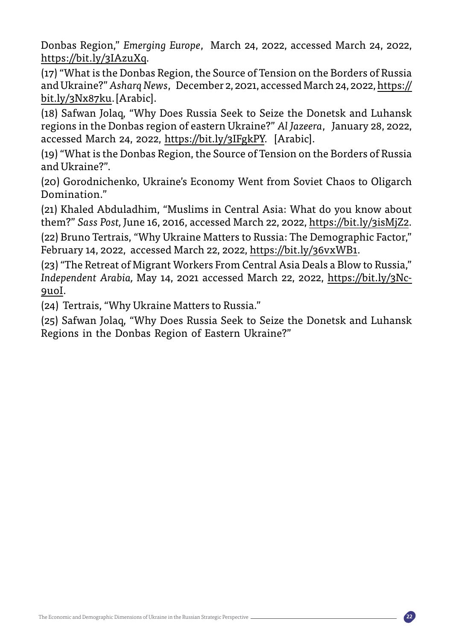Donbas Region," Emerging Europe, March 24, 2022, accessed March 24, 2022, https://bit.ly/3IAzuXq.

(17) "What is the Donbas Region, the Source of Tension on the Borders of Russia and Ukraine?" Asharq News, December 2, 2021, accessed March 24, 2022, https:// bit.ly/3Nx87ku.[Arabic].

(18) Safwan Jolaq, "Why Does Russia Seek to Seize the Donetsk and Luhansk regions in the Donbas region of eastern Ukraine?" Al Jazeera, January 28, 2022, accessed March 24, 2022, https://bit.ly/3IFgkPY. [Arabic].

(19) "What is the Donbas Region, the Source of Tension on the Borders of Russia and Ukraine?"

(20) Gorodnichenko, Ukraine's Economy Went from Soviet Chaos to Oligarch Domination."

(21) Khaled Abduladhim, "Muslims in Central Asia: What do you know about them?" Sass Post, June 16, [2](https://bit.ly/3isMjZ2)016, accessed March 22, 2022, https://bit.ly/3isMjZ2.

(22) Bruno Tertrais, "Why Ukraine Matters to Russia: The Demographic Factor," February 14, 2022, accessed March 22, 2022, https://bit.ly/36vxWB1.

(23) "The Retreat of Migrant Workers From Central Asia Deals a Blow to Russia." Independent Arabia, May 14, 2021 accessed March 22, 2022, <u>https://bit.ly/3Nc-</u><br><u>9uoI</u>.

(24) Tertrais. "Why Ukraine Matters to Russia."

(25) Safwan Jolaq, "Why Does Russia Seek to Seize the Donetsk and Luhansk Regions in the Donbas Region of Eastern Ukraine?"